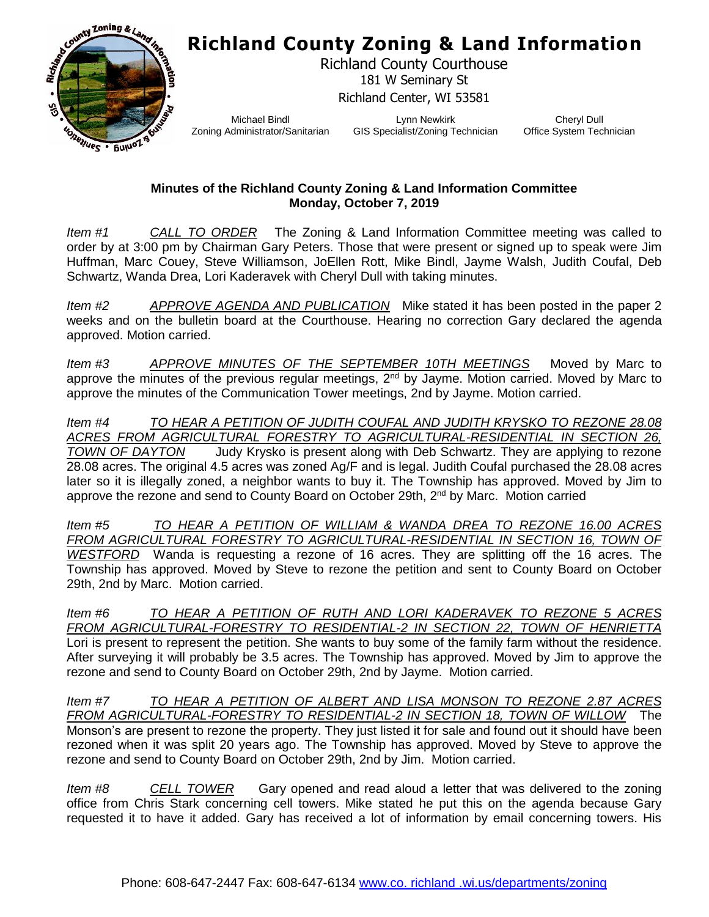## **Richland County Zoning & Land Information**



Richland County Courthouse 181 W Seminary St Richland Center, WI 53581

Michael Bindl Zoning Administrator/Sanitarian

Lynn Newkirk GIS Specialist/Zoning Technician

Cheryl Dull Office System Technician

## **Minutes of the Richland County Zoning & Land Information Committee Monday, October 7, 2019**

*Item #1 CALL TO ORDER* The Zoning & Land Information Committee meeting was called to order by at 3:00 pm by Chairman Gary Peters. Those that were present or signed up to speak were Jim Huffman, Marc Couey, Steve Williamson, JoEllen Rott, Mike Bindl, Jayme Walsh, Judith Coufal, Deb Schwartz, Wanda Drea, Lori Kaderavek with Cheryl Dull with taking minutes.

*Item #2 APPROVE AGENDA AND PUBLICATION* Mike stated it has been posted in the paper 2 weeks and on the bulletin board at the Courthouse. Hearing no correction Gary declared the agenda approved. Motion carried.

*Item #3 APPROVE MINUTES OF THE SEPTEMBER 10TH MEETINGS* Moved by Marc to approve the minutes of the previous regular meetings, 2<sup>nd</sup> by Jayme. Motion carried. Moved by Marc to approve the minutes of the Communication Tower meetings, 2nd by Jayme. Motion carried.

*Item #4 TO HEAR A PETITION OF JUDITH COUFAL AND JUDITH KRYSKO TO REZONE 28.08 ACRES FROM AGRICULTURAL FORESTRY TO AGRICULTURAL-RESIDENTIAL IN SECTION 26, TOWN OF DAYTON* Judy Krysko is present along with Deb Schwartz. They are applying to rezone 28.08 acres. The original 4.5 acres was zoned Ag/F and is legal. Judith Coufal purchased the 28.08 acres later so it is illegally zoned, a neighbor wants to buy it. The Township has approved. Moved by Jim to approve the rezone and send to County Board on October 29th, 2<sup>nd</sup> by Marc. Motion carried

*Item #5 TO HEAR A PETITION OF WILLIAM & WANDA DREA TO REZONE 16.00 ACRES*  FROM AGRICULTURAL FORESTRY TO AGRICULTURAL-RESIDENTIAL IN SECTION 16, TOWN OF *WESTFORD* Wanda is requesting a rezone of 16 acres. They are splitting off the 16 acres. The Township has approved. Moved by Steve to rezone the petition and sent to County Board on October 29th, 2nd by Marc. Motion carried.

*Item #6 TO HEAR A PETITION OF RUTH AND LORI KADERAVEK TO REZONE 5 ACRES FROM AGRICULTURAL-FORESTRY TO RESIDENTIAL-2 IN SECTION 22, TOWN OF HENRIETTA* Lori is present to represent the petition. She wants to buy some of the family farm without the residence. After surveying it will probably be 3.5 acres. The Township has approved. Moved by Jim to approve the rezone and send to County Board on October 29th, 2nd by Jayme. Motion carried.

*Item #7 TO HEAR A PETITION OF ALBERT AND LISA MONSON TO REZONE 2.87 ACRES FROM AGRICULTURAL-FORESTRY TO RESIDENTIAL-2 IN SECTION 18, TOWN OF WILLOW* The Monson's are present to rezone the property. They just listed it for sale and found out it should have been rezoned when it was split 20 years ago. The Township has approved. Moved by Steve to approve the rezone and send to County Board on October 29th, 2nd by Jim. Motion carried.

*Item #8 CELL TOWER* Gary opened and read aloud a letter that was delivered to the zoning office from Chris Stark concerning cell towers. Mike stated he put this on the agenda because Gary requested it to have it added. Gary has received a lot of information by email concerning towers. His